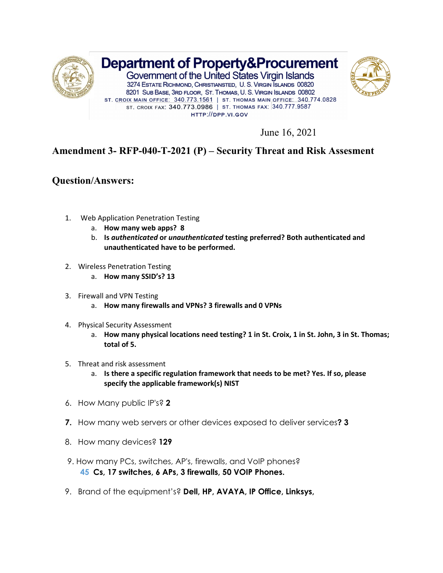

June 16, 2021

## **Amendment 3- RFP-040-T-2021 (P) – Security Threat and Risk Assesment**

## **Question/Answers:**

- 1. Web Application Penetration Testing
	- a. **How many web apps? 8**
	- b. **Is** *authenticated* **or** *unauthenticated* **testing preferred? Both authenticated and unauthenticated have to be performed.**
- 2. Wireless Penetration Testing
	- a. **How many SSID's? 13**
- 3. Firewall and VPN Testing
	- a. **How many firewalls and VPNs? 3 firewalls and 0 VPNs**
- 4. Physical Security Assessment
	- a. **How many physical locations need testing? 1 in St. Croix, 1 in St. John, 3 in St. Thomas; total of 5.**
- 5. Threat and risk assessment
	- a. **Is there a specific regulation framework that needs to be met? Yes. If so, please specify the applicable framework(s) NIST**
- 6. How Many public IP's? **2**
- **7.** How many web servers or other devices exposed to deliver services**? 3**
- 8. How many devices? **129**
- 9. How many PCs, switches, AP's, firewalls, and VoIP phones? **45 Cs, 17 switches, 6 APs, 3 firewalls, 50 VOIP Phones.**
- 9. Brand of the equipment's? **Dell, HP, AVAYA, IP Office, Linksys,**